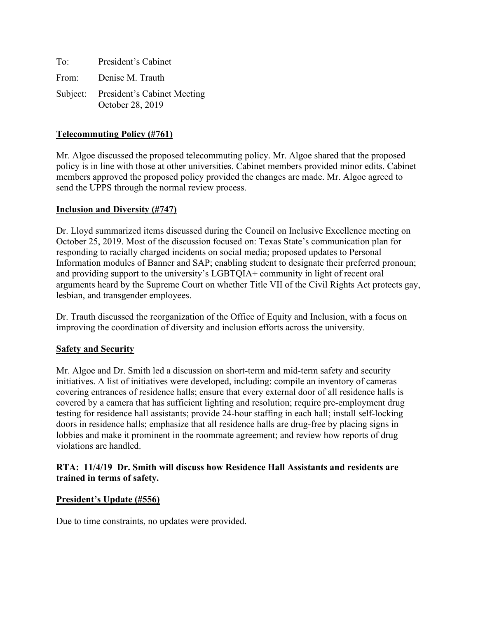| To: | President's Cabinet                                      |
|-----|----------------------------------------------------------|
|     | From: Denise M. Trauth                                   |
|     | Subject: President's Cabinet Meeting<br>October 28, 2019 |

## **Telecommuting Policy (#761)**

Mr. Algoe discussed the proposed telecommuting policy. Mr. Algoe shared that the proposed policy is in line with those at other universities. Cabinet members provided minor edits. Cabinet members approved the proposed policy provided the changes are made. Mr. Algoe agreed to send the UPPS through the normal review process.

### **Inclusion and Diversity (#747)**

Dr. Lloyd summarized items discussed during the Council on Inclusive Excellence meeting on October 25, 2019. Most of the discussion focused on: Texas State's communication plan for responding to racially charged incidents on social media; proposed updates to Personal Information modules of Banner and SAP; enabling student to designate their preferred pronoun; and providing support to the university's LGBTQIA+ community in light of recent oral arguments heard by the Supreme Court on whether Title VII of the Civil Rights Act protects gay, lesbian, and transgender employees.

Dr. Trauth discussed the reorganization of the Office of Equity and Inclusion, with a focus on improving the coordination of diversity and inclusion efforts across the university.

### **Safety and Security**

Mr. Algoe and Dr. Smith led a discussion on short-term and mid-term safety and security initiatives. A list of initiatives were developed, including: compile an inventory of cameras covering entrances of residence halls; ensure that every external door of all residence halls is covered by a camera that has sufficient lighting and resolution; require pre-employment drug testing for residence hall assistants; provide 24-hour staffing in each hall; install self-locking doors in residence halls; emphasize that all residence halls are drug-free by placing signs in lobbies and make it prominent in the roommate agreement; and review how reports of drug violations are handled.

### **RTA: 11/4/19 Dr. Smith will discuss how Residence Hall Assistants and residents are trained in terms of safety.**

### **President's Update (#556)**

Due to time constraints, no updates were provided.